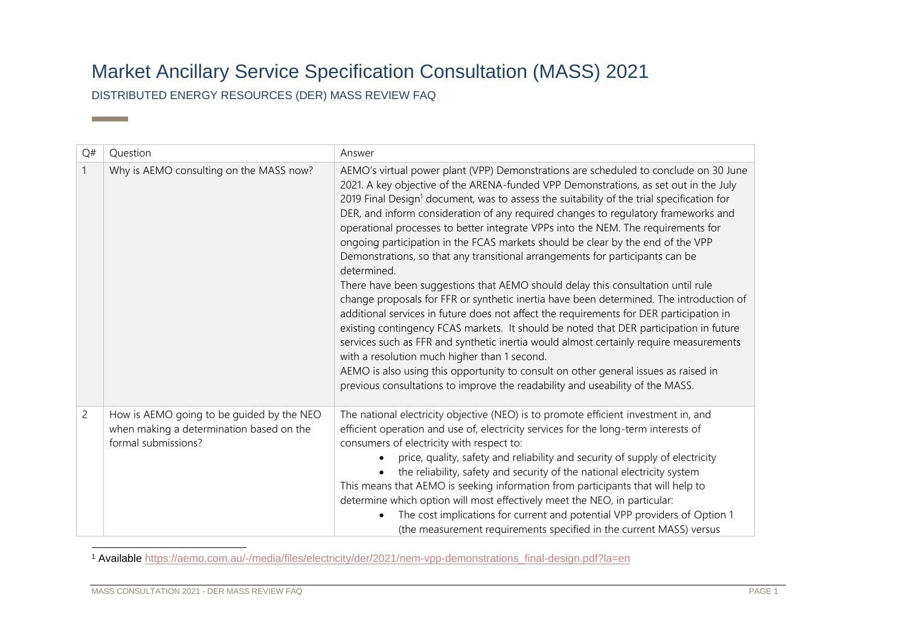## Market Ancillary Service Specification Consultation (MASS) 2021

DISTRIBUTED ENERGY RESOURCES (DER) MASS REVIEW FAQ

**Contract Contract** 

| Q#             | Question                                                                                                     | Answer                                                                                                                                                                                                                                                                                                                                                                                                                                                                                                                                                                                                                                                                                                                                                                                                                                                                                                                                                                                                                                                                                                                                                                                                                                                                                                                                   |
|----------------|--------------------------------------------------------------------------------------------------------------|------------------------------------------------------------------------------------------------------------------------------------------------------------------------------------------------------------------------------------------------------------------------------------------------------------------------------------------------------------------------------------------------------------------------------------------------------------------------------------------------------------------------------------------------------------------------------------------------------------------------------------------------------------------------------------------------------------------------------------------------------------------------------------------------------------------------------------------------------------------------------------------------------------------------------------------------------------------------------------------------------------------------------------------------------------------------------------------------------------------------------------------------------------------------------------------------------------------------------------------------------------------------------------------------------------------------------------------|
|                | Why is AEMO consulting on the MASS now?                                                                      | AEMO's virtual power plant (VPP) Demonstrations are scheduled to conclude on 30 June<br>2021. A key objective of the ARENA-funded VPP Demonstrations, as set out in the July<br>2019 Final Design <sup>1</sup> document, was to assess the suitability of the trial specification for<br>DER, and inform consideration of any required changes to regulatory frameworks and<br>operational processes to better integrate VPPs into the NEM. The requirements for<br>ongoing participation in the FCAS markets should be clear by the end of the VPP<br>Demonstrations, so that any transitional arrangements for participants can be<br>determined.<br>There have been suggestions that AEMO should delay this consultation until rule<br>change proposals for FFR or synthetic inertia have been determined. The introduction of<br>additional services in future does not affect the requirements for DER participation in<br>existing contingency FCAS markets. It should be noted that DER participation in future<br>services such as FFR and synthetic inertia would almost certainly require measurements<br>with a resolution much higher than 1 second.<br>AEMO is also using this opportunity to consult on other general issues as raised in<br>previous consultations to improve the readability and useability of the MASS. |
| $\overline{c}$ | How is AEMO going to be guided by the NEO<br>when making a determination based on the<br>formal submissions? | The national electricity objective (NEO) is to promote efficient investment in, and<br>efficient operation and use of, electricity services for the long-term interests of<br>consumers of electricity with respect to:<br>price, quality, safety and reliability and security of supply of electricity<br>$\bullet$<br>the reliability, safety and security of the national electricity system<br>This means that AEMO is seeking information from participants that will help to<br>determine which option will most effectively meet the NEO, in particular:<br>The cost implications for current and potential VPP providers of Option 1<br>$\bullet$<br>(the measurement requirements specified in the current MASS) versus                                                                                                                                                                                                                                                                                                                                                                                                                                                                                                                                                                                                         |

<sup>1</sup> Available [https://aemo.com.au/-/media/files/electricity/der/2021/nem-vpp-demonstrations\\_final-design.pdf?la=en](https://aemo.com.au/-/media/files/electricity/der/2021/nem-vpp-demonstrations_final-design.pdf?la=en)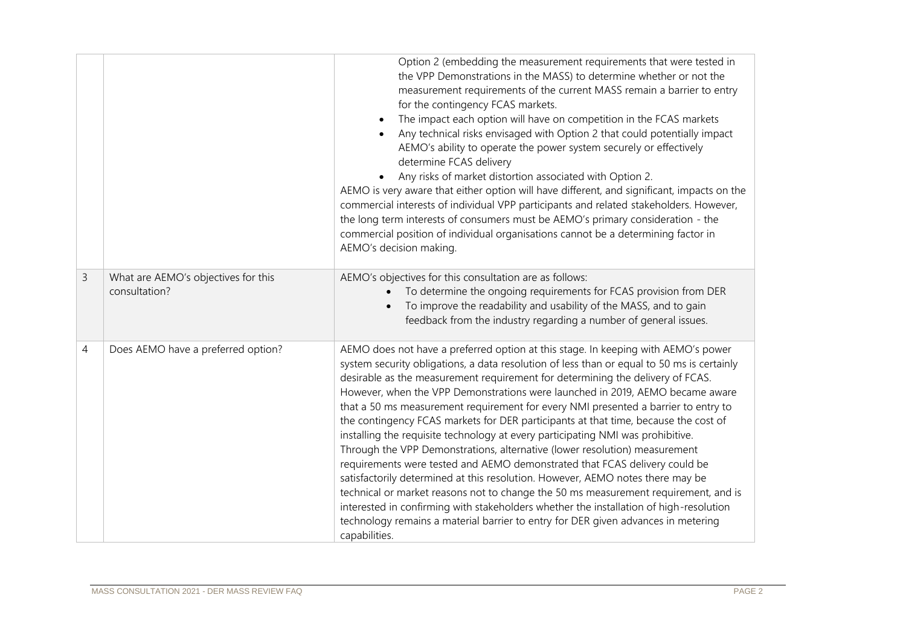|   |                                                      | Option 2 (embedding the measurement requirements that were tested in<br>the VPP Demonstrations in the MASS) to determine whether or not the<br>measurement requirements of the current MASS remain a barrier to entry<br>for the contingency FCAS markets.<br>The impact each option will have on competition in the FCAS markets<br>Any technical risks envisaged with Option 2 that could potentially impact<br>AEMO's ability to operate the power system securely or effectively<br>determine FCAS delivery<br>Any risks of market distortion associated with Option 2.<br>AEMO is very aware that either option will have different, and significant, impacts on the<br>commercial interests of individual VPP participants and related stakeholders. However,<br>the long term interests of consumers must be AEMO's primary consideration - the<br>commercial position of individual organisations cannot be a determining factor in<br>AEMO's decision making.                                                                                                                                                                                  |
|---|------------------------------------------------------|---------------------------------------------------------------------------------------------------------------------------------------------------------------------------------------------------------------------------------------------------------------------------------------------------------------------------------------------------------------------------------------------------------------------------------------------------------------------------------------------------------------------------------------------------------------------------------------------------------------------------------------------------------------------------------------------------------------------------------------------------------------------------------------------------------------------------------------------------------------------------------------------------------------------------------------------------------------------------------------------------------------------------------------------------------------------------------------------------------------------------------------------------------|
| 3 | What are AEMO's objectives for this<br>consultation? | AEMO's objectives for this consultation are as follows:<br>To determine the ongoing requirements for FCAS provision from DER<br>To improve the readability and usability of the MASS, and to gain<br>feedback from the industry regarding a number of general issues.                                                                                                                                                                                                                                                                                                                                                                                                                                                                                                                                                                                                                                                                                                                                                                                                                                                                                   |
| 4 | Does AEMO have a preferred option?                   | AEMO does not have a preferred option at this stage. In keeping with AEMO's power<br>system security obligations, a data resolution of less than or equal to 50 ms is certainly<br>desirable as the measurement requirement for determining the delivery of FCAS.<br>However, when the VPP Demonstrations were launched in 2019, AEMO became aware<br>that a 50 ms measurement requirement for every NMI presented a barrier to entry to<br>the contingency FCAS markets for DER participants at that time, because the cost of<br>installing the requisite technology at every participating NMI was prohibitive.<br>Through the VPP Demonstrations, alternative (lower resolution) measurement<br>requirements were tested and AEMO demonstrated that FCAS delivery could be<br>satisfactorily determined at this resolution. However, AEMO notes there may be<br>technical or market reasons not to change the 50 ms measurement requirement, and is<br>interested in confirming with stakeholders whether the installation of high-resolution<br>technology remains a material barrier to entry for DER given advances in metering<br>capabilities. |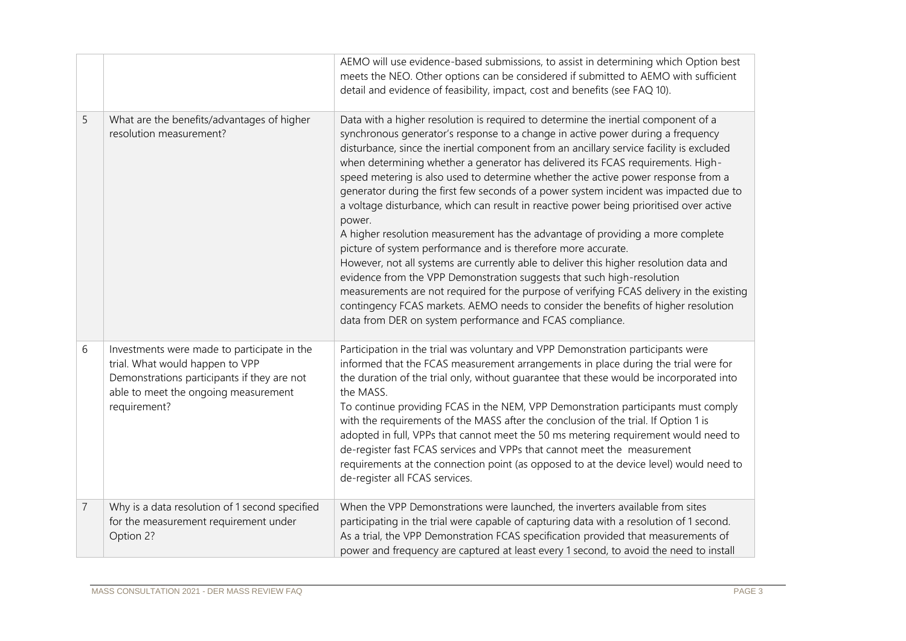|                |                                                                                                                                                                                       | AEMO will use evidence-based submissions, to assist in determining which Option best<br>meets the NEO. Other options can be considered if submitted to AEMO with sufficient<br>detail and evidence of feasibility, impact, cost and benefits (see FAQ 10).                                                                                                                                                                                                                                                                                                                                                                                                                                                                                                                                                                                                                                                                                                                                                                                                                                                                                                                                                   |
|----------------|---------------------------------------------------------------------------------------------------------------------------------------------------------------------------------------|--------------------------------------------------------------------------------------------------------------------------------------------------------------------------------------------------------------------------------------------------------------------------------------------------------------------------------------------------------------------------------------------------------------------------------------------------------------------------------------------------------------------------------------------------------------------------------------------------------------------------------------------------------------------------------------------------------------------------------------------------------------------------------------------------------------------------------------------------------------------------------------------------------------------------------------------------------------------------------------------------------------------------------------------------------------------------------------------------------------------------------------------------------------------------------------------------------------|
| 5              | What are the benefits/advantages of higher<br>resolution measurement?                                                                                                                 | Data with a higher resolution is required to determine the inertial component of a<br>synchronous generator's response to a change in active power during a frequency<br>disturbance, since the inertial component from an ancillary service facility is excluded<br>when determining whether a generator has delivered its FCAS requirements. High-<br>speed metering is also used to determine whether the active power response from a<br>generator during the first few seconds of a power system incident was impacted due to<br>a voltage disturbance, which can result in reactive power being prioritised over active<br>power.<br>A higher resolution measurement has the advantage of providing a more complete<br>picture of system performance and is therefore more accurate.<br>However, not all systems are currently able to deliver this higher resolution data and<br>evidence from the VPP Demonstration suggests that such high-resolution<br>measurements are not required for the purpose of verifying FCAS delivery in the existing<br>contingency FCAS markets. AEMO needs to consider the benefits of higher resolution<br>data from DER on system performance and FCAS compliance. |
| 6              | Investments were made to participate in the<br>trial. What would happen to VPP<br>Demonstrations participants if they are not<br>able to meet the ongoing measurement<br>requirement? | Participation in the trial was voluntary and VPP Demonstration participants were<br>informed that the FCAS measurement arrangements in place during the trial were for<br>the duration of the trial only, without quarantee that these would be incorporated into<br>the MASS.<br>To continue providing FCAS in the NEM, VPP Demonstration participants must comply<br>with the requirements of the MASS after the conclusion of the trial. If Option 1 is<br>adopted in full, VPPs that cannot meet the 50 ms metering requirement would need to<br>de-register fast FCAS services and VPPs that cannot meet the measurement<br>requirements at the connection point (as opposed to at the device level) would need to<br>de-register all FCAS services.                                                                                                                                                                                                                                                                                                                                                                                                                                                    |
| $\overline{7}$ | Why is a data resolution of 1 second specified<br>for the measurement requirement under<br>Option 2?                                                                                  | When the VPP Demonstrations were launched, the inverters available from sites<br>participating in the trial were capable of capturing data with a resolution of 1 second.<br>As a trial, the VPP Demonstration FCAS specification provided that measurements of<br>power and frequency are captured at least every 1 second, to avoid the need to install                                                                                                                                                                                                                                                                                                                                                                                                                                                                                                                                                                                                                                                                                                                                                                                                                                                    |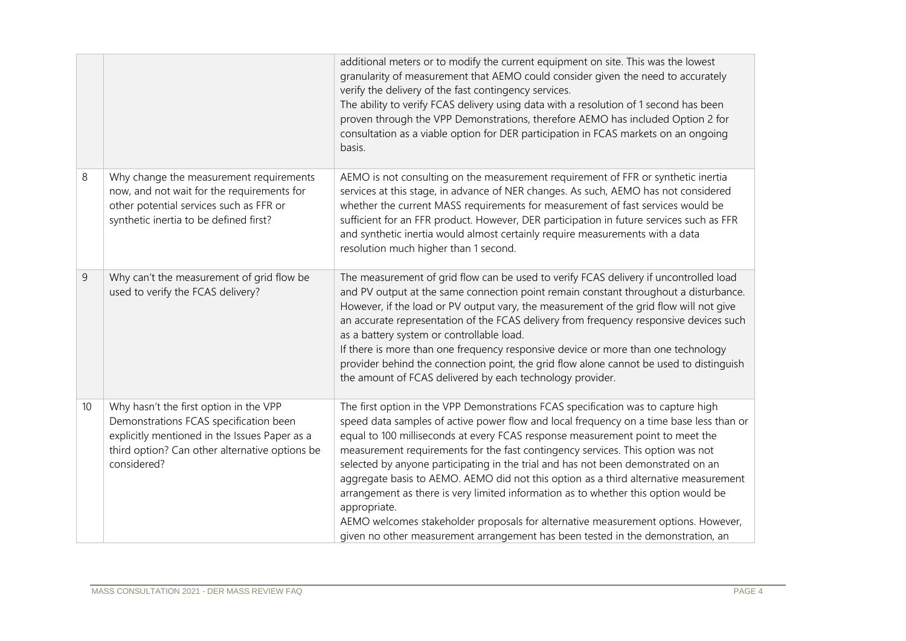|    |                                                                                                                                                                                                    | additional meters or to modify the current equipment on site. This was the lowest<br>granularity of measurement that AEMO could consider given the need to accurately<br>verify the delivery of the fast contingency services.<br>The ability to verify FCAS delivery using data with a resolution of 1 second has been<br>proven through the VPP Demonstrations, therefore AEMO has included Option 2 for<br>consultation as a viable option for DER participation in FCAS markets on an ongoing<br>basis.                                                                                                                                                                                                                                                                                                   |
|----|----------------------------------------------------------------------------------------------------------------------------------------------------------------------------------------------------|---------------------------------------------------------------------------------------------------------------------------------------------------------------------------------------------------------------------------------------------------------------------------------------------------------------------------------------------------------------------------------------------------------------------------------------------------------------------------------------------------------------------------------------------------------------------------------------------------------------------------------------------------------------------------------------------------------------------------------------------------------------------------------------------------------------|
| 8  | Why change the measurement requirements<br>now, and not wait for the requirements for<br>other potential services such as FFR or<br>synthetic inertia to be defined first?                         | AEMO is not consulting on the measurement requirement of FFR or synthetic inertia<br>services at this stage, in advance of NER changes. As such, AEMO has not considered<br>whether the current MASS requirements for measurement of fast services would be<br>sufficient for an FFR product. However, DER participation in future services such as FFR<br>and synthetic inertia would almost certainly require measurements with a data<br>resolution much higher than 1 second.                                                                                                                                                                                                                                                                                                                             |
| 9  | Why can't the measurement of grid flow be<br>used to verify the FCAS delivery?                                                                                                                     | The measurement of grid flow can be used to verify FCAS delivery if uncontrolled load<br>and PV output at the same connection point remain constant throughout a disturbance.<br>However, if the load or PV output vary, the measurement of the grid flow will not give<br>an accurate representation of the FCAS delivery from frequency responsive devices such<br>as a battery system or controllable load.<br>If there is more than one frequency responsive device or more than one technology<br>provider behind the connection point, the grid flow alone cannot be used to distinguish<br>the amount of FCAS delivered by each technology provider.                                                                                                                                                   |
| 10 | Why hasn't the first option in the VPP<br>Demonstrations FCAS specification been<br>explicitly mentioned in the Issues Paper as a<br>third option? Can other alternative options be<br>considered? | The first option in the VPP Demonstrations FCAS specification was to capture high<br>speed data samples of active power flow and local frequency on a time base less than or<br>equal to 100 milliseconds at every FCAS response measurement point to meet the<br>measurement requirements for the fast contingency services. This option was not<br>selected by anyone participating in the trial and has not been demonstrated on an<br>aggregate basis to AEMO. AEMO did not this option as a third alternative measurement<br>arrangement as there is very limited information as to whether this option would be<br>appropriate.<br>AEMO welcomes stakeholder proposals for alternative measurement options. However,<br>given no other measurement arrangement has been tested in the demonstration, an |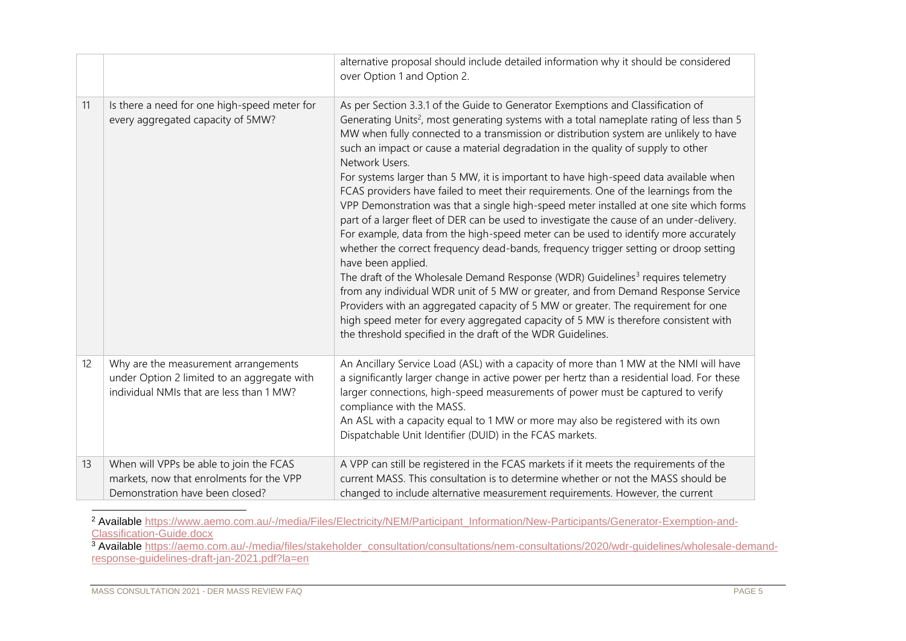|    |                                                                                                                                 | alternative proposal should include detailed information why it should be considered<br>over Option 1 and Option 2.                                                                                                                                                                                                                                                                                                                                                                                                                                                                                                                                                                                                                                                                                                                                                                                                                                                                                                                                                                                                                                                                                                                                                                                                                                                                              |
|----|---------------------------------------------------------------------------------------------------------------------------------|--------------------------------------------------------------------------------------------------------------------------------------------------------------------------------------------------------------------------------------------------------------------------------------------------------------------------------------------------------------------------------------------------------------------------------------------------------------------------------------------------------------------------------------------------------------------------------------------------------------------------------------------------------------------------------------------------------------------------------------------------------------------------------------------------------------------------------------------------------------------------------------------------------------------------------------------------------------------------------------------------------------------------------------------------------------------------------------------------------------------------------------------------------------------------------------------------------------------------------------------------------------------------------------------------------------------------------------------------------------------------------------------------|
| 11 | Is there a need for one high-speed meter for<br>every aggregated capacity of 5MW?                                               | As per Section 3.3.1 of the Guide to Generator Exemptions and Classification of<br>Generating Units <sup>2</sup> , most generating systems with a total nameplate rating of less than 5<br>MW when fully connected to a transmission or distribution system are unlikely to have<br>such an impact or cause a material degradation in the quality of supply to other<br>Network Users.<br>For systems larger than 5 MW, it is important to have high-speed data available when<br>FCAS providers have failed to meet their requirements. One of the learnings from the<br>VPP Demonstration was that a single high-speed meter installed at one site which forms<br>part of a larger fleet of DER can be used to investigate the cause of an under-delivery.<br>For example, data from the high-speed meter can be used to identify more accurately<br>whether the correct frequency dead-bands, frequency trigger setting or droop setting<br>have been applied.<br>The draft of the Wholesale Demand Response (WDR) Guidelines <sup>3</sup> requires telemetry<br>from any individual WDR unit of 5 MW or greater, and from Demand Response Service<br>Providers with an aggregated capacity of 5 MW or greater. The requirement for one<br>high speed meter for every aggregated capacity of 5 MW is therefore consistent with<br>the threshold specified in the draft of the WDR Guidelines. |
| 12 | Why are the measurement arrangements<br>under Option 2 limited to an aggregate with<br>individual NMIs that are less than 1 MW? | An Ancillary Service Load (ASL) with a capacity of more than 1 MW at the NMI will have<br>a significantly larger change in active power per hertz than a residential load. For these<br>larger connections, high-speed measurements of power must be captured to verify<br>compliance with the MASS.<br>An ASL with a capacity equal to 1 MW or more may also be registered with its own<br>Dispatchable Unit Identifier (DUID) in the FCAS markets.                                                                                                                                                                                                                                                                                                                                                                                                                                                                                                                                                                                                                                                                                                                                                                                                                                                                                                                                             |
| 13 | When will VPPs be able to join the FCAS<br>markets, now that enrolments for the VPP<br>Demonstration have been closed?          | A VPP can still be registered in the FCAS markets if it meets the requirements of the<br>current MASS. This consultation is to determine whether or not the MASS should be<br>changed to include alternative measurement requirements. However, the current                                                                                                                                                                                                                                                                                                                                                                                                                                                                                                                                                                                                                                                                                                                                                                                                                                                                                                                                                                                                                                                                                                                                      |

<sup>2</sup> Available [https://www.aemo.com.au/-/media/Files/Electricity/NEM/Participant\\_Information/New-Participants/Generator-Exemption-and-](https://www.aemo.com.au/-/media/Files/Electricity/NEM/Participant_Information/New-Participants/Generator-Exemption-and-Classification-Guide.docx)[Classification-Guide.docx](https://www.aemo.com.au/-/media/Files/Electricity/NEM/Participant_Information/New-Participants/Generator-Exemption-and-Classification-Guide.docx)

<sup>&</sup>lt;sup>3</sup> Available [https://aemo.com.au/-/media/files/stakeholder\\_consultation/consultations/nem-consultations/2020/wdr-guidelines/wholesale-demand](https://aemo.com.au/-/media/files/stakeholder_consultation/consultations/nem-consultations/2020/wdr-guidelines/wholesale-demand-response-guidelines-draft-jan-2021.pdf?la=en)[response-guidelines-draft-jan-2021.pdf?la=en](https://aemo.com.au/-/media/files/stakeholder_consultation/consultations/nem-consultations/2020/wdr-guidelines/wholesale-demand-response-guidelines-draft-jan-2021.pdf?la=en)